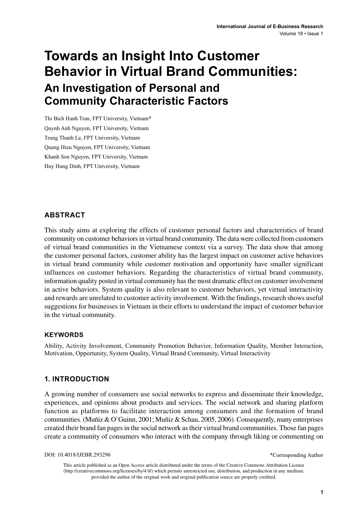# **Towards an Insight Into Customer Behavior in Virtual Brand Communities: An Investigation of Personal and Community Characteristic Factors**

Thi Bich Hanh Tran, FPT University, Vietnam\* Quynh Anh Nguyen, FPT University, Vietnam Trung Thanh Le, FPT University, Vietnam Quang Hieu Nguyen, FPT University, Vietnam Khanh Son Nguyen, FPT University, Vietnam Huy Hung Dinh, FPT University, Vietnam

### **ABSTRACT**

This study aims at exploring the effects of customer personal factors and characteristics of brand community on customer behaviors in virtual brand community. The data were collected from customers of virtual brand communities in the Vietnamese context via a survey. The data show that among the customer personal factors, customer ability has the largest impact on customer active behaviors in virtual brand community while customer motivation and opportunity have smaller significant influences on customer behaviors. Regarding the characteristics of virtual brand community, information quality posted in virtual community has the most dramatic effect on customer involvement in active behaviors. System quality is also relevant to customer behaviors, yet virtual interactivity and rewards are unrelated to customer activity involvement. With the findings, research shows useful suggestions for businesses in Vietnam in their efforts to understand the impact of customer behavior in the virtual community.

#### **Keywords**

Ability, Activity Involvement, Community Promotion Behavior, Information Quality, Member Interaction, Motivation, Opportunity, System Quality, Virtual Brand Community, Virtual Interactivity

#### **1. INTRODUCTION**

A growing number of consumers use social networks to express and disseminate their knowledge, experiences, and opinions about products and services. The social network and sharing platform function as platforms to facilitate interaction among consumers and the formation of brand communities. (Muñiz & O'Guinn, 2001; Muñiz & Schau, 2005, 2006). Consequently, many enterprises created their brand fan pages in the social network as their virtual brand communities. Those fan pages create a community of consumers who interact with the company through liking or commenting on

DOI: 10.4018/IJEBR.293296

\*Corresponding Author

This article published as an Open Access article distributed under the terms of the Creative Commons Attribution License (http://creativecommons.org/licenses/by/4.0/) which permits unrestricted use, distribution, and production in any medium, provided the author of the original work and original publication source are properly credited.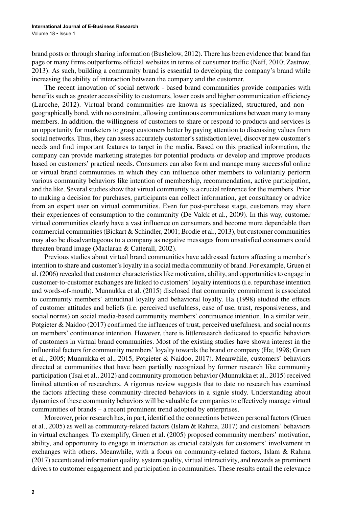brand posts or through sharing information (Bushelow, 2012). There has been evidence that brand fan page or many firms outperforms official websites in terms of consumer traffic (Neff, 2010; Zastrow, 2013). As such, building a community brand is essential to developing the company's brand while increasing the ability of interaction between the company and the customer.

The recent innovation of social network - based brand communities provide companies with benefits such as greater accessibility to customers, lower costs and higher communication efficiency (Laroche, 2012). Virtual brand communities are known as specialized, structured, and non – geographically bond, with no constraint, allowing continuous communications between many to many members. In addition, the willingness of customers to share or respond to products and services is an opportunity for marketers to grasp customers better by paying attention to discussing values from social networks. Thus, they can assess accurately customer's satisfaction level, discover new customer's needs and find important features to target in the media. Based on this practical information, the company can provide marketing strategies for potential products or develop and improve products based on customers' practical needs. Consumers can also form and manage many successful online or virtual brand communities in which they can influence other members to voluntarily perform various community behaviors like intention of membership, recommendation, active participation, and the like. Several studies show that virtual community is a crucial reference for the members. Prior to making a decision for purchases, participants can collect information, get consultancy or advice from an expert user on virtual communities. Even for post-purchase stage, customers may share their experiences of consumption to the community (De Valck et al., 2009). In this way, customer virtual communities clearly have a vast influence on consumers and become more dependable than commercial communities (Bickart & Schindler, 2001; Brodie et al., 2013), but customer communities may also be disadvantageous to a company as negative messages from unsatisfied consumers could threaten brand image (Maclaran & Catterall, 2002).

Previous studies about virtual brand communities have addressed factors affecting a member's intention to share and customer's loyalty in a social media community of brand. For example, Gruen et al. (2006) revealed that customer characteristics like motivation, ability, and opportunities to engage in customer-to-customer exchanges are linked to customers' loyalty intentions (i.e. repurchase intention and words-of-mouth). Munnukka et al. (2015) disclosed that community commitment is associated to community members' attitudinal loyalty and behavioral loyalty. Ha (1998) studied the effects of customer attitudes and beliefs (i.e. perceived usefulness, ease of use, trust, responsiveness, and social norms) on social media-based community members' continuance intention. In a similar vein, Potgieter & Naidoo (2017) confirmed the influences of trust, perceived usefulness, and social norms on members' continuance intention. However, there is littleresearch dedicated to specific behaviors of customers in virtual brand communities. Most of the existing studies have shown interest in the influential factors for community members' loyalty towards the brand or company (Ha; 1998; Gruen et al., 2005; Munnukka et al., 2015, Potgieter & Naidoo, 2017). Meanwhile, customers' behaviors directed at communities that have been partially recognized by former research like community participation (Tsai et al., 2012) and community promotion behavior (Munnukka et al., 2015) received limited attention of researchers. A rigorous review suggests that to date no research has examined the factors affecting these community-directed behaviors in a signle study. Understanding about dynamics of these community behaviors will be valuable for companies to effectively manage virtual communities of brands – a recent prominent trend adopted by enterprises.

Moreover, prior research has, in part, identified the connections between personal factors (Gruen et al., 2005) as well as community-related factors (Islam & Rahma, 2017) and customers' behaviors in virtual exchanges. To exemplify, Gruen et al. (2005) proposed community members' motivation, ability, and opportunity to engage in interaction as crucial catalysts for customers' involvement in exchanges with others. Meanwhile, with a focus on community-related factors, Islam & Rahma (2017) accentuated information quality, system quality, virtual interactivity, and rewards as prominent drivers to customer engagement and participation in communities. These results entail the relevance